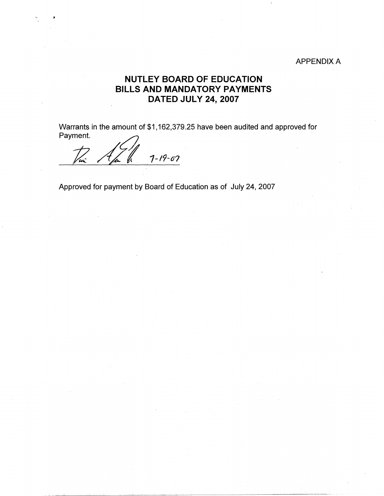## APPENDIX A

## **NUTLEY BOARD OF EDUCATION BILLS AND MANDATORY PAYMENTS DATED JULY 24, 2007**

Warrants in the amount of \$1,162,379.25 have been audited and approved for Warrants in the amount of \$1,162<br>Payment.

 $7 - 19 - 07$ 

Approved for payment by Board of Education as of July 24, 2007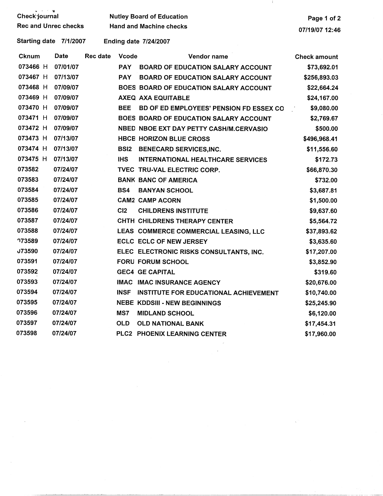| Check journal                    |          |                 | <b>Nutley Board of Education</b><br><b>Hand and Machine checks</b> |                                            |                     |
|----------------------------------|----------|-----------------|--------------------------------------------------------------------|--------------------------------------------|---------------------|
| <b>Rec and Unrec checks</b>      |          |                 |                                                                    | 07/19/07 12:46                             |                     |
| <b>Starting date</b><br>7/1/2007 |          |                 | <b>Ending date 7/24/2007</b>                                       |                                            |                     |
| <b>Cknum</b>                     | Date     | <b>Rec date</b> | <b>Vcode</b>                                                       | Vendor name                                | <b>Check amount</b> |
| 073466 H                         | 07/01/07 | <b>PAY</b>      |                                                                    | <b>BOARD OF EDUCATION SALARY ACCOUNT</b>   | \$73,692.01         |
| 073467 H                         | 07/13/07 | <b>PAY</b>      |                                                                    | <b>BOARD OF EDUCATION SALARY ACCOUNT</b>   | \$256,893.03        |
| 073468 H                         | 07/09/07 |                 |                                                                    | BOES BOARD OF EDUCATION SALARY ACCOUNT     | \$22,664.24         |
| 073469 H                         | 07/09/07 |                 |                                                                    | AXEQ AXA EQUITABLE                         | \$24,167.00         |
| 073470 H                         | 07/09/07 | <b>BEE</b>      |                                                                    | BD OF ED EMPLOYEES' PENSION FD ESSEX CO    | \$9,080.00          |
| 073471 H                         | 07/09/07 |                 |                                                                    | BOES BOARD OF EDUCATION SALARY ACCOUNT     | \$2,769.67          |
| 073472 H                         | 07/09/07 |                 |                                                                    | NBED NBOE EXT DAY PETTY CASH/M.CERVASIO    | \$500.00            |
| 073473 H                         | 07/13/07 |                 |                                                                    | <b>HBCB HORIZON BLUE CROSS</b>             | \$496,968.41        |
| 073474 H                         | 07/13/07 | <b>BSI2</b>     |                                                                    | <b>BENECARD SERVICES, INC.</b>             | \$11,556.60         |
| 073475 H                         | 07/13/07 | <b>IHS</b>      |                                                                    | <b>INTERNATIONAL HEALTHCARE SERVICES</b>   | \$172.73            |
| 073582                           | 07/24/07 |                 |                                                                    | TVEC TRU-VAL ELECTRIC CORP.                | \$66,870.30         |
| 073583                           | 07/24/07 |                 |                                                                    | <b>BANK BANC OF AMERICA</b>                | \$732.00            |
| 073584                           | 07/24/07 | BS4             |                                                                    | <b>BANYAN SCHOOL</b>                       | \$3,687.81          |
| 073585                           | 07/24/07 |                 |                                                                    | <b>CAM2 CAMP ACORN</b>                     | \$1,500.00          |
| 073586                           | 07/24/07 | C12             |                                                                    | <b>CHILDRENS INSTITUTE</b>                 | \$9,637.60          |
| 073587                           | 07/24/07 |                 |                                                                    | CHTH CHILDRENS THERAPY CENTER              | \$5,564.72          |
| 073588                           | 07/24/07 |                 |                                                                    | LEAS COMMERCE COMMERCIAL LEASING, LLC      | \$37,893.62         |
| <b>773589</b>                    | 07/24/07 |                 |                                                                    | <b>ECLC ECLC OF NEW JERSEY</b>             | \$3,635.60          |
| <b>J73590</b>                    | 07/24/07 |                 |                                                                    | ELEC ELECTRONIC RISKS CONSULTANTS, INC.    | \$17,207.00         |
| 073591                           | 07/24/07 |                 |                                                                    | <b>FORU FORUM SCHOOL</b>                   | \$3,852.90          |
| 073592                           | 07/24/07 |                 |                                                                    | <b>GEC4 GE CAPITAL</b>                     | \$319.60            |
| 073593                           | 07/24/07 |                 |                                                                    | <b>IMAC IMAC INSURANCE AGENCY</b>          | \$20,676.00         |
| 073594                           | 07/24/07 |                 |                                                                    | INSF INSTITUTE FOR EDUCATIONAL ACHIEVEMENT | \$10,740.00         |
| 073595                           | 07/24/07 |                 |                                                                    | <b>NEBE KDDSIII - NEW BEGINNINGS</b>       | \$25,245.90         |
| 073596                           | 07/24/07 | MS7             |                                                                    | <b>MIDLAND SCHOOL</b>                      | \$6,120.00          |
| 073597                           | 07/24/07 | <b>OLD</b>      |                                                                    | <b>OLD NATIONAL BANK</b>                   | \$17,454.31         |
| 073598                           | 07/24/07 |                 |                                                                    | PLC2 PHOENIX LEARNING CENTER               | \$17,960.00         |
|                                  |          |                 |                                                                    |                                            |                     |

- 11